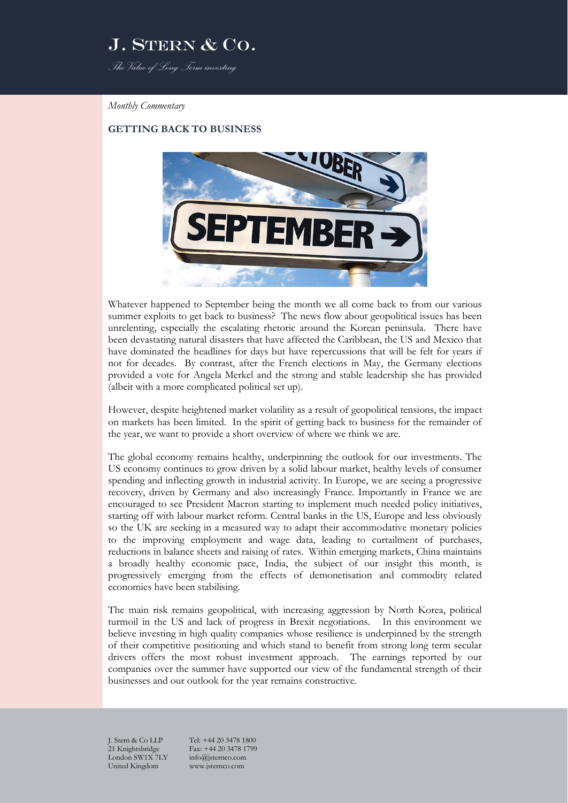# J. STERN & CO.

*The Value of Long-Term investing*

#### *Monthly Commentary*

### **GETTING BACK TO BUSINESS**



Whatever happened to September being the month we all come back to from our various summer exploits to get back to business? The news flow about geopolitical issues has been unrelenting, especially the escalating rhetoric around the Korean peninsula. There have been devastating natural disasters that have affected the Caribbean, the US and Mexico that have dominated the headlines for days but have repercussions that will be felt for years if not for decades. By contrast, after the French elections in May, the Germany elections provided a vote for Angela Merkel and the strong and stable leadership she has provided (albeit with a more complicated political set up).

However, despite heightened market volatility as a result of geopolitical tensions, the impact on markets has been limited. In the spirit of getting back to business for the remainder of the year, we want to provide a short overview of where we think we are.

The global economy remains healthy, underpinning the outlook for our investments. The US economy continues to grow driven by a solid labour market, healthy levels of consumer spending and inflecting growth in industrial activity. In Europe, we are seeing a progressive recovery, driven by Germany and also increasingly France. Importantly in France we are encouraged to see President Macron starting to implement much needed policy initiatives, starting off with labour market reform. Central banks in the US, Europe and less obviously so the UK are seeking in a measured way to adapt their accommodative monetary policies to the improving employment and wage data, leading to curtailment of purchases, reductions in balance sheets and raising of rates. Within emerging markets, China maintains a broadly healthy economic pace, India, the subject of our insight this month, is progressively emerging from the effects of demonetisation and commodity related economies have been stabilising.

The main risk remains geopolitical, with increasing aggression by North Korea, political turmoil in the US and lack of progress in Brexit negotiations. In this environment we believe investing in high quality companies whose resilience is underpinned by the strength of their competitive positioning and which stand to benefit from strong long term secular drivers offers the most robust investment approach. The earnings reported by our companies over the summer have supported our view of the fundamental strength of their businesses and our outlook for the year remains constructive.

London SW1X 7LY info@jsternco.com<br>United Kingdom www.jsternco.com United Kingdom

J. Stern & Co LLP Tel: +44 20 3478 1800 Fax: +44 20 3478 1799<br>info@jsternco.com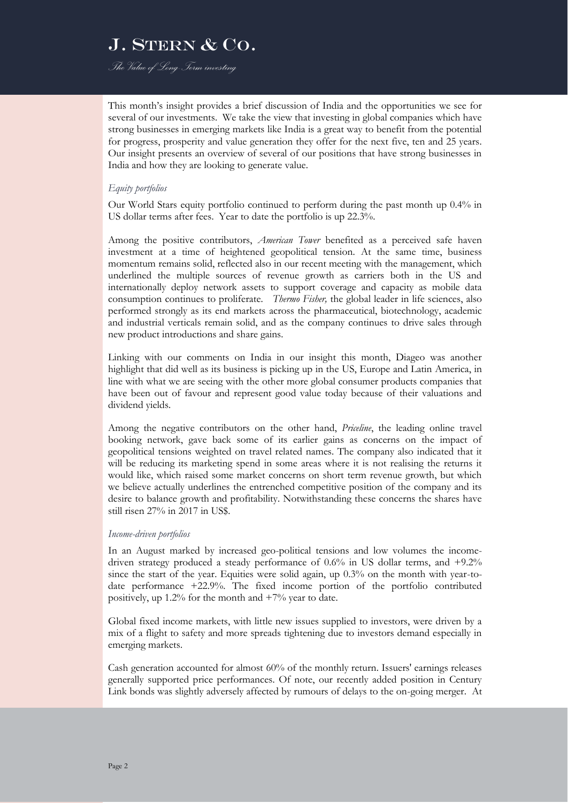# J. STERN & CO.

*The Value of Long-Term investing*

This month's insight provides a brief discussion of India and the opportunities we see for several of our investments. We take the view that investing in global companies which have strong businesses in emerging markets like India is a great way to benefit from the potential for progress, prosperity and value generation they offer for the next five, ten and 25 years. Our insight presents an overview of several of our positions that have strong businesses in India and how they are looking to generate value.

#### *Equity portfolios*

Our World Stars equity portfolio continued to perform during the past month up 0.4% in US dollar terms after fees. Year to date the portfolio is up 22.3%.

Among the positive contributors, *American Tower* benefited as a perceived safe haven investment at a time of heightened geopolitical tension. At the same time, business momentum remains solid, reflected also in our recent meeting with the management, which underlined the multiple sources of revenue growth as carriers both in the US and internationally deploy network assets to support coverage and capacity as mobile data consumption continues to proliferate. *Thermo Fisher,* the global leader in life sciences, also performed strongly as its end markets across the pharmaceutical, biotechnology, academic and industrial verticals remain solid, and as the company continues to drive sales through new product introductions and share gains.

Linking with our comments on India in our insight this month, Diageo was another highlight that did well as its business is picking up in the US, Europe and Latin America, in line with what we are seeing with the other more global consumer products companies that have been out of favour and represent good value today because of their valuations and dividend yields.

Among the negative contributors on the other hand, *Priceline*, the leading online travel booking network, gave back some of its earlier gains as concerns on the impact of geopolitical tensions weighted on travel related names. The company also indicated that it will be reducing its marketing spend in some areas where it is not realising the returns it would like, which raised some market concerns on short term revenue growth, but which we believe actually underlines the entrenched competitive position of the company and its desire to balance growth and profitability. Notwithstanding these concerns the shares have still risen 27% in 2017 in US\$.

#### *Income-driven portfolios*

In an August marked by increased geo-political tensions and low volumes the incomedriven strategy produced a steady performance of 0.6% in US dollar terms, and +9.2% since the start of the year. Equities were solid again, up 0.3% on the month with year-todate performance +22.9%. The fixed income portion of the portfolio contributed positively, up 1.2% for the month and +7% year to date.

Global fixed income markets, with little new issues supplied to investors, were driven by a mix of a flight to safety and more spreads tightening due to investors demand especially in emerging markets.

Cash generation accounted for almost 60% of the monthly return. Issuers' earnings releases generally supported price performances. Of note, our recently added position in Century Link bonds was slightly adversely affected by rumours of delays to the on-going merger. At